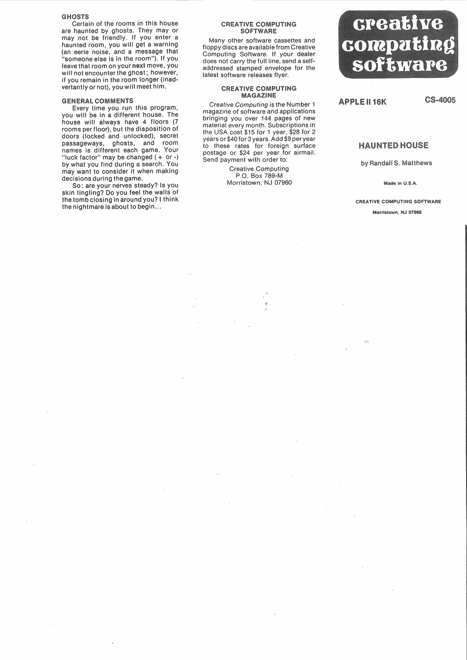### **GHOSTS**

Certain of the rooms in this house are haunted by ghosts. They may or may not be friendly. If you enter a haunted room, you will get a warning (an eerie noise, and a message that "someone else is in the room"). If you leave that room on your next move, you will not encounter the ghost; however, if you remain in the room longer (inadvertantly or not), you will meet him.

## **GENERAL COMMENTS**

Every time you run this program you will be in a different house. The house will always have 4 floors (7 rooms per floor), but the disposition of doors (locked and unlocked), secret passageways, ghosts, and room names is different each game. Your "luck factor" may be changed (+ or-) by what you find during a search. You may want to consider it when making decisions during the game.

So: are your nerves steady? Is you skin tingling? Do you feel the walls of the tomb closing in around you? I think the nightmare is about to begin...

#### **CREATIVE COMPUTING SOFTWARE**

Many other software cassettes and floppy discs are available from Creative Computing Software. If your dealer does not carry the full line, send a selfaddressed stamped envelope for the latest software releases flyer.

### **CREATIVE COMPUTING MAGAZINE**

Creative Computing is the Number 1 magazine of software and applications bringing you over 144 pages of new material every month. Subscriptions in the USA cost \$15 for 1 year, \$28 for 2 years or \$40 for 3 years. Add \$9 per year to these rates for foreign surface postage or \$24 per year for airmail. Send payment with order to:

> Creative Computing P.O. Box 789-M Morristown, NJ 07960



**APPLE II 16K** 

**CS-4005** 

# **HAUNTED HOUSE**

by Randall S. Matthews

Made in U.S.A.

Morristown, NJ 07960 CREATIVE COMPUTING SOFTWARE